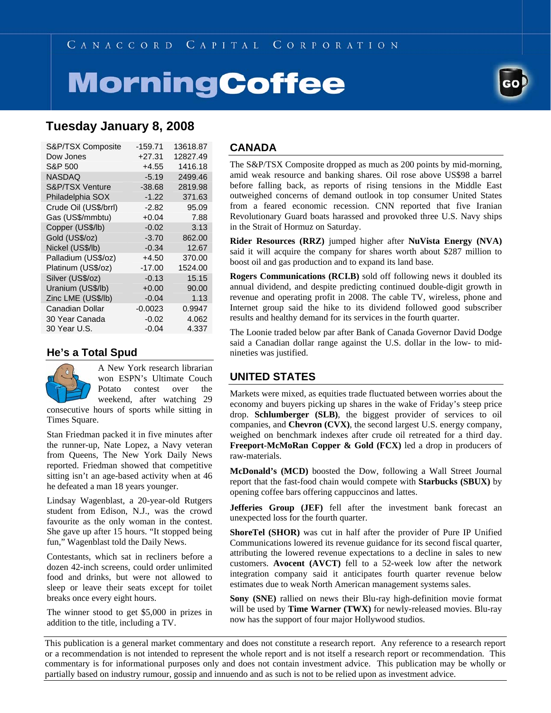# **MorningCoffee**



## **Tuesday January 8, 2008**

| S&P/TSX Composite          | $-159.71$ | 13618.87 |
|----------------------------|-----------|----------|
| Dow Jones                  | $+27.31$  | 12827.49 |
| S&P 500                    | $+4.55$   | 1416.18  |
| NASDAQ                     | $-5.19$   | 2499.46  |
| <b>S&amp;P/TSX Venture</b> | $-38.68$  | 2819.98  |
| Philadelphia SOX           | $-1.22$   | 371.63   |
| Crude Oil (US\$/brrl)      | $-2.82$   | 95.09    |
| Gas (US\$/mmbtu)           | $+0.04$   | 7.88     |
| Copper (US\$/lb)           | $-0.02$   | 3.13     |
| Gold (US\$/oz)             | $-3.70$   | 862.00   |
| Nickel (US\$/lb)           | $-0.34$   | 12.67    |
| Palladium (US\$/oz)        | +4.50     | 370.00   |
| Platinum (US\$/oz)         | $-17.00$  | 1524.00  |
| Silver (US\$/oz)           | $-0.13$   | 15.15    |
| Uranium (US\$/lb)          | $+0.00$   | 90.00    |
| Zinc LME (US\$/lb)         | $-0.04$   | 1.13     |
| Canadian Dollar            | $-0.0023$ | 0.9947   |
| 30 Year Canada             | $-0.02$   | 4.062    |
| 30 Year U.S.               | $-0.04$   | 4.337    |

### **He's a Total Spud**



A New York research librarian won ESPN's Ultimate Couch Potato contest over the weekend, after watching 29

consecutive hours of sports while sitting in Times Square.

Stan Friedman packed it in five minutes after the runner-up, Nate Lopez, a Navy veteran from Queens, The New York Daily News reported. Friedman showed that competitive sitting isn't an age-based activity when at 46 he defeated a man 18 years younger.

Lindsay Wagenblast, a 20-year-old Rutgers student from Edison, N.J., was the crowd favourite as the only woman in the contest. She gave up after 15 hours. "It stopped being fun," Wagenblast told the Daily News.

Contestants, which sat in recliners before a dozen 42-inch screens, could order unlimited food and drinks, but were not allowed to sleep or leave their seats except for toilet breaks once every eight hours.

The winner stood to get \$5,000 in prizes in addition to the title, including a TV.

#### **CANADA**

The S&P/TSX Composite dropped as much as 200 points by mid-morning, amid weak resource and banking shares. Oil rose above US\$98 a barrel before falling back, as reports of rising tensions in the Middle East outweighed concerns of demand outlook in top consumer United States from a feared economic recession. CNN reported that five Iranian Revolutionary Guard boats harassed and provoked three U.S. Navy ships in the Strait of Hormuz on Saturday.

**Rider Resources (RRZ)** jumped higher after **NuVista Energy (NVA)** said it will acquire the company for shares worth about \$287 million to boost oil and gas production and to expand its land base.

**Rogers Communications (RCI.B)** sold off following news it doubled its annual dividend, and despite predicting continued double-digit growth in revenue and operating profit in 2008. The cable TV, wireless, phone and Internet group said the hike to its dividend followed good subscriber results and healthy demand for its services in the fourth quarter.

The Loonie traded below par after Bank of Canada Governor David Dodge said a Canadian dollar range against the U.S. dollar in the low- to midnineties was justified.

## **UNITED STATES**

Markets were mixed, as equities trade fluctuated between worries about the economy and buyers picking up shares in the wake of Friday's steep price drop. **Schlumberger (SLB)**, the biggest provider of services to oil companies, and **Chevron (CVX)**, the second largest U.S. energy company, weighed on benchmark indexes after crude oil retreated for a third day. **Freeport-McMoRan Copper & Gold (FCX)** led a drop in producers of raw-materials.

**McDonald's (MCD)** boosted the Dow, following a Wall Street Journal report that the fast-food chain would compete with **Starbucks (SBUX)** by opening coffee bars offering cappuccinos and lattes.

**Jefferies Group (JEF)** fell after the investment bank forecast an unexpected loss for the fourth quarter.

**ShoreTel (SHOR)** was cut in half after the provider of Pure IP Unified Communications lowered its revenue guidance for its second fiscal quarter, attributing the lowered revenue expectations to a decline in sales to new customers. **Avocent (AVCT)** fell to a 52-week low after the network integration company said it anticipates fourth quarter revenue below estimates due to weak North American management systems sales.

**Sony (SNE)** rallied on news their Blu-ray high-definition movie format will be used by **Time Warner (TWX)** for newly-released movies. Blu-ray now has the support of four major Hollywood studios.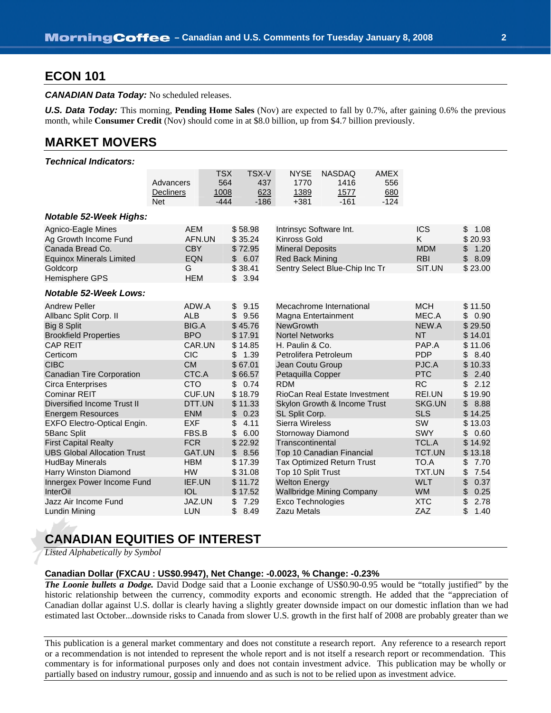## **ECON 101**

*CANADIAN Data Today:* No scheduled releases.

**U.S. Data Today:** This morning, **Pending Home Sales** (Nov) are expected to fall by 0.7%, after gaining 0.6% the previous month, while **Consumer Credit** (Nov) should come in at \$8.0 billion, up from \$4.7 billion previously.

## **MARKET MOVERS**

#### *Technical Indicators:*

|                                                                   | Advancers                      | <b>TSX</b><br>564   | <b>TSX-V</b><br>437 | <b>NYSE</b><br>1770                               | <b>NASDAQ</b><br>1416             | <b>AMEX</b><br>556 |                          |                          |
|-------------------------------------------------------------------|--------------------------------|---------------------|---------------------|---------------------------------------------------|-----------------------------------|--------------------|--------------------------|--------------------------|
|                                                                   | <b>Decliners</b><br><b>Net</b> | 1008<br>$-444$      | 623<br>$-186$       | 1389<br>$+381$                                    | 1577<br>$-161$                    | 680<br>$-124$      |                          |                          |
| <b>Notable 52-Week Highs:</b>                                     |                                |                     |                     |                                                   |                                   |                    |                          |                          |
| Agnico-Eagle Mines<br>Ag Growth Income Fund                       | <b>AEM</b>                     | AFN.UN              | \$58.98<br>\$35.24  | Intrinsyc Software Int.<br><b>Kinross Gold</b>    |                                   |                    | <b>ICS</b><br>K.         | \$<br>1.08<br>\$20.93    |
| Canada Bread Co.<br><b>Equinox Minerals Limited</b>               | <b>CBY</b><br>EQN              |                     | \$72.95<br>\$6.07   | <b>Mineral Deposits</b><br><b>Red Back Mining</b> |                                   |                    | <b>MDM</b><br><b>RBI</b> | \$<br>1.20<br>\$<br>8.09 |
| Goldcorp<br>Hemisphere GPS                                        | G<br><b>HEM</b>                |                     | \$38.41<br>\$3.94   | Sentry Select Blue-Chip Inc Tr                    |                                   |                    | SIT.UN                   | \$23.00                  |
| <b>Notable 52-Week Lows:</b>                                      |                                |                     |                     |                                                   |                                   |                    |                          |                          |
| <b>Andrew Peller</b><br>Allbanc Split Corp. II                    | ADW.A<br><b>ALB</b>            | \$                  | \$9.15<br>9.56      | Magna Entertainment                               | Mecachrome International          |                    | <b>MCH</b><br>MEC.A      | \$11.50<br>\$0.90        |
| Big 8 Split<br><b>Brookfield Properties</b>                       | <b>BIG.A</b><br><b>BPO</b>     |                     | \$45.76<br>\$17.91  | <b>NewGrowth</b><br><b>Nortel Networks</b>        |                                   |                    | NEW.A<br><b>NT</b>       | \$29.50<br>\$14.01       |
| <b>CAP REIT</b><br>Certicom                                       | <b>CIC</b>                     | CAR.UN<br>\$        | \$14.85<br>1.39     | H. Paulin & Co.<br>Petrolifera Petroleum          |                                   |                    | PAP.A<br><b>PDP</b>      | \$11.06<br>\$<br>8.40    |
| <b>CIBC</b><br><b>Canadian Tire Corporation</b>                   | <b>CM</b><br>CTC.A             |                     | \$67.01<br>\$66.57  | Jean Coutu Group<br>Petaquilla Copper             |                                   |                    | PJC.A<br><b>PTC</b>      | \$10.33<br>\$<br>2.40    |
| Circa Enterprises<br><b>Cominar REIT</b>                          | <b>CTO</b>                     | \$<br>CUF.UN        | 0.74<br>\$18.79     | <b>RDM</b>                                        | RioCan Real Estate Investment     |                    | <b>RC</b><br>REI.UN      | \$<br>2.12<br>\$19.90    |
| Diversified Income Trust II<br><b>Energem Resources</b>           | <b>ENM</b>                     | DTT.UN<br>\$        | \$11.33<br>0.23     | SL Split Corp.                                    | Skylon Growth & Income Trust      |                    | SKG.UN<br><b>SLS</b>     | 8.88<br>\$<br>\$14.25    |
| EXFO Electro-Optical Engin.<br>5Banc Split                        | <b>EXF</b><br>FBS.B            | \$<br>\$            | 4.11<br>6.00        | <b>Sierra Wireless</b><br>Stornoway Diamond       |                                   |                    | SW<br><b>SWY</b>         | \$13.03<br>\$<br>0.60    |
| <b>First Capital Realty</b><br><b>UBS Global Allocation Trust</b> | <b>FCR</b>                     | <b>GAT.UN</b><br>\$ | \$22.92<br>8.56     | Transcontinental                                  | Top 10 Canadian Financial         |                    | <b>TCL.A</b><br>TCT.UN   | \$14.92<br>\$13.18       |
| <b>HudBay Minerals</b><br>Harry Winston Diamond                   | <b>HBM</b><br><b>HW</b>        |                     | \$17.39<br>\$31.08  | Top 10 Split Trust                                | <b>Tax Optimized Return Trust</b> |                    | TO.A<br><b>TXT.UN</b>    | \$<br>7.70<br>\$<br>7.54 |
| Innergex Power Income Fund<br><b>InterOil</b>                     | IEF.UN<br><b>IOL</b>           |                     | \$11.72<br>\$17.52  | <b>Welton Energy</b>                              | <b>Wallbridge Mining Company</b>  |                    | <b>WLT</b><br><b>WM</b>  | \$<br>0.37<br>\$<br>0.25 |
| Jazz Air Income Fund<br>Lundin Mining                             | JAZ.UN<br>LUN                  | \$<br>\$            | 7.29<br>8.49        | <b>Exco Technologies</b><br>Zazu Metals           |                                   |                    | <b>XTC</b><br>ZAZ        | \$<br>2.78<br>\$<br>1.40 |

## **CANADIAN EQUITIES OF INTEREST**

*Listed Alphabetically by Symbol*

#### **Canadian Dollar (FXCAU : US\$0.9947), Net Change: -0.0023, % Change: -0.23%**

*The Loonie bullets a Dodge.* David Dodge said that a Loonie exchange of US\$0.90-0.95 would be "totally justified" by the historic relationship between the currency, commodity exports and economic strength. He added that the "appreciation of Canadian dollar against U.S. dollar is clearly having a slightly greater downside impact on our domestic inflation than we had estimated last October...downside risks to Canada from slower U.S. growth in the first half of 2008 are probably greater than we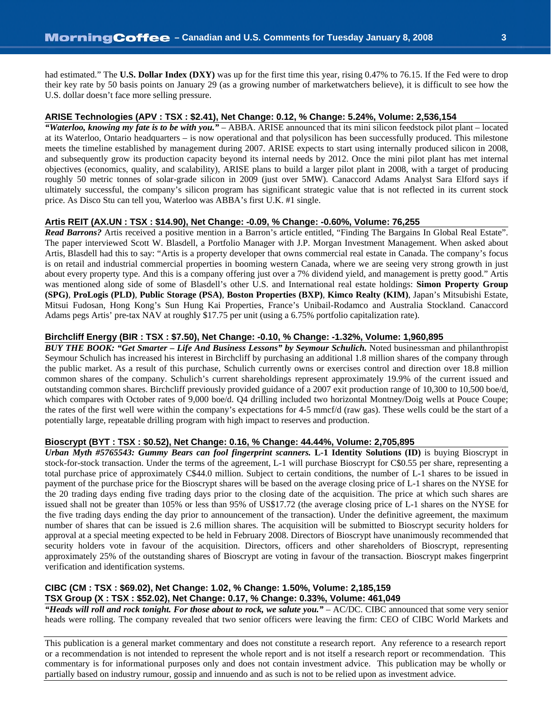had estimated." The **U.S. Dollar Index (DXY)** was up for the first time this year, rising 0.47% to 76.15. If the Fed were to drop their key rate by 50 basis points on January 29 (as a growing number of marketwatchers believe), it is difficult to see how the U.S. dollar doesn't face more selling pressure.

#### **ARISE Technologies (APV : TSX : \$2.41), Net Change: 0.12, % Change: 5.24%, Volume: 2,536,154**

*"Waterloo, knowing my fate is to be with you."* – ABBA. ARISE announced that its mini silicon feedstock pilot plant – located at its Waterloo, Ontario headquarters – is now operational and that polysilicon has been successfully produced. This milestone meets the timeline established by management during 2007. ARISE expects to start using internally produced silicon in 2008, and subsequently grow its production capacity beyond its internal needs by 2012. Once the mini pilot plant has met internal objectives (economics, quality, and scalability), ARISE plans to build a larger pilot plant in 2008, with a target of producing roughly 50 metric tonnes of solar-grade silicon in 2009 (just over 5MW). Canaccord Adams Analyst Sara Elford says if ultimately successful, the company's silicon program has significant strategic value that is not reflected in its current stock price. As Disco Stu can tell you, Waterloo was ABBA's first U.K. #1 single.

#### **Artis REIT (AX.UN : TSX : \$14.90), Net Change: -0.09, % Change: -0.60%, Volume: 76,255**

*Read Barrons?* Artis received a positive mention in a Barron's article entitled, "Finding The Bargains In Global Real Estate". The paper interviewed Scott W. Blasdell, a Portfolio Manager with J.P. Morgan Investment Management. When asked about Artis, Blasdell had this to say: "Artis is a property developer that owns commercial real estate in Canada. The company's focus is on retail and industrial commercial properties in booming western Canada, where we are seeing very strong growth in just about every property type. And this is a company offering just over a 7% dividend yield, and management is pretty good." Artis was mentioned along side of some of Blasdell's other U.S. and International real estate holdings: **Simon Property Group (SPG)**, **ProLogis (PLD)**, **Public Storage (PSA)**, **Boston Properties (BXP)**, **Kimco Realty (KIM)**, Japan's Mitsubishi Estate, Mitsui Fudosan, Hong Kong's Sun Hung Kai Properties, France's Unibail-Rodamco and Australia Stockland. Canaccord Adams pegs Artis' pre-tax NAV at roughly \$17.75 per unit (using a 6.75% portfolio capitalization rate).

#### **Birchcliff Energy (BIR : TSX : \$7.50), Net Change: -0.10, % Change: -1.32%, Volume: 1,960,895**

*BUY THE BOOK: "Get Smarter – Life And Business Lessons" by Seymour Schulich.* Noted businessman and philanthropist Seymour Schulich has increased his interest in Birchcliff by purchasing an additional 1.8 million shares of the company through the public market. As a result of this purchase, Schulich currently owns or exercises control and direction over 18.8 million common shares of the company. Schulich's current shareholdings represent approximately 19.9% of the current issued and outstanding common shares. Birchcliff previously provided guidance of a 2007 exit production range of 10,300 to 10,500 boe/d, which compares with October rates of 9,000 boe/d. Q4 drilling included two horizontal Montney/Doig wells at Pouce Coupe; the rates of the first well were within the company's expectations for 4-5 mmcf/d (raw gas). These wells could be the start of a potentially large, repeatable drilling program with high impact to reserves and production.

#### **Bioscrypt (BYT : TSX : \$0.52), Net Change: 0.16, % Change: 44.44%, Volume: 2,705,895**

*Urban Myth #5765543: Gummy Bears can fool fingerprint scanners.* **L-1 Identity Solutions (ID)** is buying Bioscrypt in stock-for-stock transaction. Under the terms of the agreement, L-1 will purchase Bioscrypt for C\$0.55 per share, representing a total purchase price of approximately C\$44.0 million. Subject to certain conditions, the number of L-1 shares to be issued in payment of the purchase price for the Bioscrypt shares will be based on the average closing price of L-1 shares on the NYSE for the 20 trading days ending five trading days prior to the closing date of the acquisition. The price at which such shares are issued shall not be greater than 105% or less than 95% of US\$17.72 (the average closing price of L-1 shares on the NYSE for the five trading days ending the day prior to announcement of the transaction). Under the definitive agreement, the maximum number of shares that can be issued is 2.6 million shares. The acquisition will be submitted to Bioscrypt security holders for approval at a special meeting expected to be held in February 2008. Directors of Bioscrypt have unanimously recommended that security holders vote in favour of the acquisition. Directors, officers and other shareholders of Bioscrypt, representing approximately 25% of the outstanding shares of Bioscrypt are voting in favour of the transaction. Bioscrypt makes fingerprint verification and identification systems.

#### **CIBC (CM : TSX : \$69.02), Net Change: 1.02, % Change: 1.50%, Volume: 2,185,159 TSX Group (X : TSX : \$52.02), Net Change: 0.17, % Change: 0.33%, Volume: 461,049**

*"Heads will roll and rock tonight. For those about to rock, we salute you."* – AC/DC. CIBC announced that some very senior heads were rolling. The company revealed that two senior officers were leaving the firm: CEO of CIBC World Markets and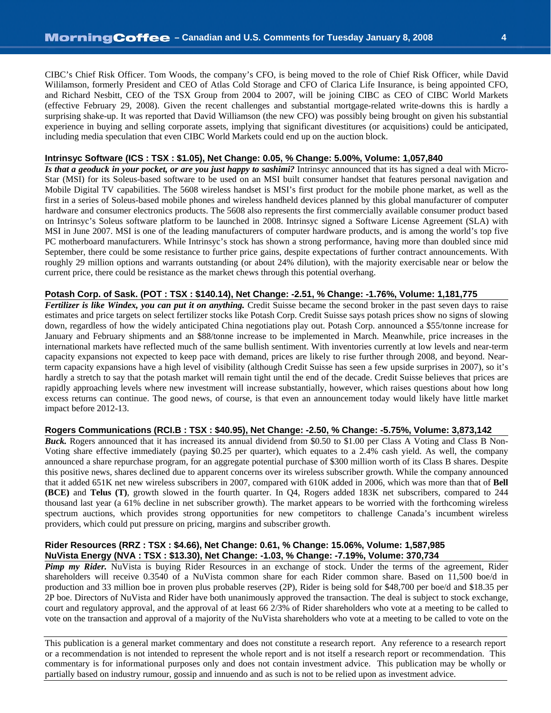CIBC's Chief Risk Officer. Tom Woods, the company's CFO, is being moved to the role of Chief Risk Officer, while David Wililamson, formerly President and CEO of Atlas Cold Storage and CFO of Clarica Life Insurance, is being appointed CFO, and Richard Nesbitt, CEO of the TSX Group from 2004 to 2007, will be joining CIBC as CEO of CIBC World Markets (effective February 29, 2008). Given the recent challenges and substantial mortgage-related write-downs this is hardly a surprising shake-up. It was reported that David Williamson (the new CFO) was possibly being brought on given his substantial experience in buying and selling corporate assets, implying that significant divestitures (or acquisitions) could be anticipated, including media speculation that even CIBC World Markets could end up on the auction block.

#### **Intrinsyc Software (ICS : TSX : \$1.05), Net Change: 0.05, % Change: 5.00%, Volume: 1,057,840**

*Is that a geoduck in your pocket, or are you just happy to sashimi?* Intrinsyc announced that its has signed a deal with Micro-Star (MSI) for its Soleus-based software to be used on an MSI built consumer handset that features personal navigation and Mobile Digital TV capabilities. The 5608 wireless handset is MSI's first product for the mobile phone market, as well as the first in a series of Soleus-based mobile phones and wireless handheld devices planned by this global manufacturer of computer hardware and consumer electronics products. The 5608 also represents the first commercially available consumer product based on Intrinsyc's Soleus software platform to be launched in 2008. Intrinsyc signed a Software License Agreement (SLA) with MSI in June 2007. MSI is one of the leading manufacturers of computer hardware products, and is among the world's top five PC motherboard manufacturers. While Intrinsyc's stock has shown a strong performance, having more than doubled since mid September, there could be some resistance to further price gains, despite expectations of further contract announcements. With roughly 29 million options and warrants outstanding (or about 24% dilution), with the majority exercisable near or below the current price, there could be resistance as the market chews through this potential overhang.

#### **Potash Corp. of Sask. (POT : TSX : \$140.14), Net Change: -2.51, % Change: -1.76%, Volume: 1,181,775**

*Fertilizer is like Windex, you can put it on anything.* Credit Suisse became the second broker in the past seven days to raise estimates and price targets on select fertilizer stocks like Potash Corp. Credit Suisse says potash prices show no signs of slowing down, regardless of how the widely anticipated China negotiations play out. Potash Corp. announced a \$55/tonne increase for January and February shipments and an \$88/tonne increase to be implemented in March. Meanwhile, price increases in the international markets have reflected much of the same bullish sentiment. With inventories currently at low levels and near-term capacity expansions not expected to keep pace with demand, prices are likely to rise further through 2008, and beyond. Nearterm capacity expansions have a high level of visibility (although Credit Suisse has seen a few upside surprises in 2007), so it's hardly a stretch to say that the potash market will remain tight until the end of the decade. Credit Suisse believes that prices are rapidly approaching levels where new investment will increase substantially, however, which raises questions about how long excess returns can continue. The good news, of course, is that even an announcement today would likely have little market impact before 2012-13.

#### **Rogers Communications (RCI.B : TSX : \$40.95), Net Change: -2.50, % Change: -5.75%, Volume: 3,873,142**

**Buck.** Rogers announced that it has increased its annual dividend from \$0.50 to \$1.00 per Class A Voting and Class B Non-Voting share effective immediately (paying \$0.25 per quarter), which equates to a 2.4% cash yield. As well, the company announced a share repurchase program, for an aggregate potential purchase of \$300 million worth of its Class B shares. Despite this positive news, shares declined due to apparent concerns over its wireless subscriber growth. While the company announced that it added 651K net new wireless subscribers in 2007, compared with 610K added in 2006, which was more than that of **Bell (BCE)** and **Telus (T)**, growth slowed in the fourth quarter. In Q4, Rogers added 183K net subscribers, compared to 244 thousand last year (a 61% decline in net subscriber growth). The market appears to be worried with the forthcoming wireless spectrum auctions, which provides strong opportunities for new competitors to challenge Canada's incumbent wireless providers, which could put pressure on pricing, margins and subscriber growth.

#### **Rider Resources (RRZ : TSX : \$4.66), Net Change: 0.61, % Change: 15.06%, Volume: 1,587,985 NuVista Energy (NVA : TSX : \$13.30), Net Change: -1.03, % Change: -7.19%, Volume: 370,734**

*Pimp my Rider.* NuVista is buying Rider Resources in an exchange of stock. Under the terms of the agreement, Rider shareholders will receive 0.3540 of a NuVista common share for each Rider common share. Based on 11,500 boe/d in production and 33 million boe in proven plus probable reserves (2P), Rider is being sold for \$48,700 per boe/d and \$18.35 per 2P boe. Directors of NuVista and Rider have both unanimously approved the transaction. The deal is subject to stock exchange, court and regulatory approval, and the approval of at least 66 2/3% of Rider shareholders who vote at a meeting to be called to vote on the transaction and approval of a majority of the NuVista shareholders who vote at a meeting to be called to vote on the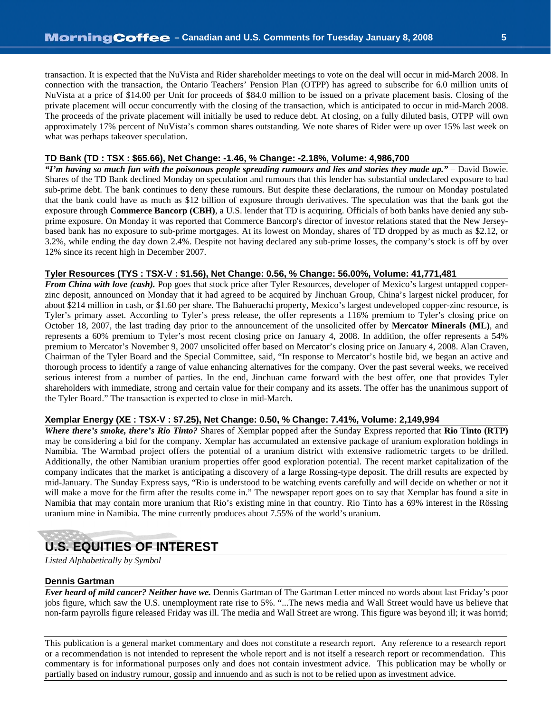transaction. It is expected that the NuVista and Rider shareholder meetings to vote on the deal will occur in mid-March 2008. In connection with the transaction, the Ontario Teachers' Pension Plan (OTPP) has agreed to subscribe for 6.0 million units of NuVista at a price of \$14.00 per Unit for proceeds of \$84.0 million to be issued on a private placement basis. Closing of the private placement will occur concurrently with the closing of the transaction, which is anticipated to occur in mid-March 2008. The proceeds of the private placement will initially be used to reduce debt. At closing, on a fully diluted basis, OTPP will own approximately 17% percent of NuVista's common shares outstanding. We note shares of Rider were up over 15% last week on what was perhaps takeover speculation.

#### **TD Bank (TD : TSX : \$65.66), Net Change: -1.46, % Change: -2.18%, Volume: 4,986,700**

*"I'm having so much fun with the poisonous people spreading rumours and lies and stories they made up."* – David Bowie. Shares of the TD Bank declined Monday on speculation and rumours that this lender has substantial undeclared exposure to bad sub-prime debt. The bank continues to deny these rumours. But despite these declarations, the rumour on Monday postulated that the bank could have as much as \$12 billion of exposure through derivatives. The speculation was that the bank got the exposure through **Commerce Bancorp (CBH)**, a U.S. lender that TD is acquiring. Officials of both banks have denied any subprime exposure. On Monday it was reported that Commerce Bancorp's director of investor relations stated that the New Jerseybased bank has no exposure to sub-prime mortgages. At its lowest on Monday, shares of TD dropped by as much as \$2.12, or 3.2%, while ending the day down 2.4%. Despite not having declared any sub-prime losses, the company's stock is off by over 12% since its recent high in December 2007.

#### **Tyler Resources (TYS : TSX-V : \$1.56), Net Change: 0.56, % Change: 56.00%, Volume: 41,771,481**

*From China with love (cash)*. Pop goes that stock price after Tyler Resources, developer of Mexico's largest untapped copperzinc deposit, announced on Monday that it had agreed to be acquired by Jinchuan Group, China's largest nickel producer, for about \$214 million in cash, or \$1.60 per share. The Bahuerachi property, Mexico's largest undeveloped copper-zinc resource, is Tyler's primary asset. According to Tyler's press release, the offer represents a 116% premium to Tyler's closing price on October 18, 2007, the last trading day prior to the announcement of the unsolicited offer by **Mercator Minerals (ML)**, and represents a 60% premium to Tyler's most recent closing price on January 4, 2008. In addition, the offer represents a 54% premium to Mercator's November 9, 2007 unsolicited offer based on Mercator's closing price on January 4, 2008. Alan Craven, Chairman of the Tyler Board and the Special Committee, said, "In response to Mercator's hostile bid, we began an active and thorough process to identify a range of value enhancing alternatives for the company. Over the past several weeks, we received serious interest from a number of parties. In the end, Jinchuan came forward with the best offer, one that provides Tyler shareholders with immediate, strong and certain value for their company and its assets. The offer has the unanimous support of the Tyler Board." The transaction is expected to close in mid-March.

#### **Xemplar Energy (XE : TSX-V : \$7.25), Net Change: 0.50, % Change: 7.41%, Volume: 2,149,994**

*Where there's smoke, there's Rio Tinto?* Shares of Xemplar popped after the Sunday Express reported that **Rio Tinto (RTP)** may be considering a bid for the company. Xemplar has accumulated an extensive package of uranium exploration holdings in Namibia. The Warmbad project offers the potential of a uranium district with extensive radiometric targets to be drilled. Additionally, the other Namibian uranium properties offer good exploration potential. The recent market capitalization of the company indicates that the market is anticipating a discovery of a large Rossing-type deposit. The drill results are expected by mid-January. The Sunday Express says, "Rio is understood to be watching events carefully and will decide on whether or not it will make a move for the firm after the results come in." The newspaper report goes on to say that Xemplar has found a site in Namibia that may contain more uranium that Rio's existing mine in that country. Rio Tinto has a 69% interest in the Rössing uranium mine in Namibia. The mine currently produces about 7.55% of the world's uranium.

## **U.S. EQUITIES OF INTEREST**

*Listed Alphabetically by Symbol*

#### **Dennis Gartman**

*Ever heard of mild cancer? Neither have we.* Dennis Gartman of The Gartman Letter minced no words about last Friday's poor jobs figure, which saw the U.S. unemployment rate rise to 5%. "...The news media and Wall Street would have us believe that non-farm payrolls figure released Friday was ill. The media and Wall Street are wrong. This figure was beyond ill; it was horrid;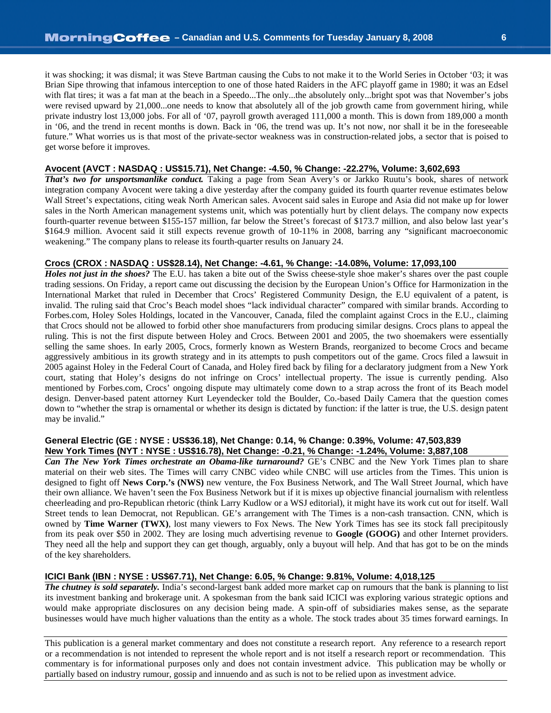it was shocking; it was dismal; it was Steve Bartman causing the Cubs to not make it to the World Series in October '03; it was Brian Sipe throwing that infamous interception to one of those hated Raiders in the AFC playoff game in 1980; it was an Edsel with flat tires; it was a fat man at the beach in a Speedo...The only...the absolutely only...bright spot was that November's jobs were revised upward by 21,000...one needs to know that absolutely all of the job growth came from government hiring, while private industry lost 13,000 jobs. For all of '07, payroll growth averaged 111,000 a month. This is down from 189,000 a month in '06, and the trend in recent months is down. Back in '06, the trend was up. It's not now, nor shall it be in the foreseeable future." What worries us is that most of the private-sector weakness was in construction-related jobs, a sector that is poised to get worse before it improves.

#### **Avocent (AVCT : NASDAQ : US\$15.71), Net Change: -4.50, % Change: -22.27%, Volume: 3,602,693**

*That's two for unsportsmanlike conduct.* Taking a page from Sean Avery's or Jarkko Ruutu's book, shares of network integration company Avocent were taking a dive yesterday after the company guided its fourth quarter revenue estimates below Wall Street's expectations, citing weak North American sales. Avocent said sales in Europe and Asia did not make up for lower sales in the North American management systems unit, which was potentially hurt by client delays. The company now expects fourth-quarter revenue between \$155-157 million, far below the Street's forecast of \$173.7 million, and also below last year's \$164.9 million. Avocent said it still expects revenue growth of 10-11% in 2008, barring any "significant macroeconomic weakening." The company plans to release its fourth-quarter results on January 24.

#### **Crocs (CROX : NASDAQ : US\$28.14), Net Change: -4.61, % Change: -14.08%, Volume: 17,093,100**

*Holes not just in the shoes?* The E.U. has taken a bite out of the Swiss cheese-style shoe maker's shares over the past couple trading sessions. On Friday, a report came out discussing the decision by the European Union's Office for Harmonization in the International Market that ruled in December that Crocs' Registered Community Design, the E.U equivalent of a patent, is invalid. The ruling said that Croc's Beach model shoes "lack individual character" compared with similar brands. According to Forbes.com, Holey Soles Holdings, located in the Vancouver, Canada, filed the complaint against Crocs in the E.U., claiming that Crocs should not be allowed to forbid other shoe manufacturers from producing similar designs. Crocs plans to appeal the ruling. This is not the first dispute between Holey and Crocs. Between 2001 and 2005, the two shoemakers were essentially selling the same shoes. In early 2005, Crocs, formerly known as Western Brands, reorganized to become Crocs and became aggressively ambitious in its growth strategy and in its attempts to push competitors out of the game. Crocs filed a lawsuit in 2005 against Holey in the Federal Court of Canada, and Holey fired back by filing for a declaratory judgment from a New York court, stating that Holey's designs do not infringe on Crocs' intellectual property. The issue is currently pending. Also mentioned by Forbes.com, Crocs' ongoing dispute may ultimately come down to a strap across the front of its Beach model design. Denver-based patent attorney Kurt Leyendecker told the Boulder, Co.-based Daily Camera that the question comes down to "whether the strap is ornamental or whether its design is dictated by function: if the latter is true, the U.S. design patent may be invalid."

#### **General Electric (GE : NYSE : US\$36.18), Net Change: 0.14, % Change: 0.39%, Volume: 47,503,839 New York Times (NYT : NYSE : US\$16.78), Net Change: -0.21, % Change: -1.24%, Volume: 3,887,108**

*Can The New York Times orchestrate an Obama-like turnaround?* GE's CNBC and the New York Times plan to share material on their web sites. The Times will carry CNBC video while CNBC will use articles from the Times. This union is designed to fight off **News Corp.'s (NWS)** new venture, the Fox Business Network, and The Wall Street Journal, which have their own alliance. We haven't seen the Fox Business Network but if it is mixes up objective financial journalism with relentless cheerleading and pro-Republican rhetoric (think Larry Kudlow or a WSJ editorial), it might have its work cut out for itself. Wall Street tends to lean Democrat, not Republican. GE's arrangement with The Times is a non-cash transaction. CNN, which is owned by **Time Warner (TWX)**, lost many viewers to Fox News. The New York Times has see its stock fall precipitously from its peak over \$50 in 2002. They are losing much advertising revenue to **Google (GOOG)** and other Internet providers. They need all the help and support they can get though, arguably, only a buyout will help. And that has got to be on the minds of the key shareholders.

#### **ICICI Bank (IBN : NYSE : US\$67.71), Net Change: 6.05, % Change: 9.81%, Volume: 4,018,125**

*The chutney is sold separately.* India's second-largest bank added more market cap on rumours that the bank is planning to list its investment banking and brokerage unit. A spokesman from the bank said ICICI was exploring various strategic options and would make appropriate disclosures on any decision being made. A spin-off of subsidiaries makes sense, as the separate businesses would have much higher valuations than the entity as a whole. The stock trades about 35 times forward earnings. In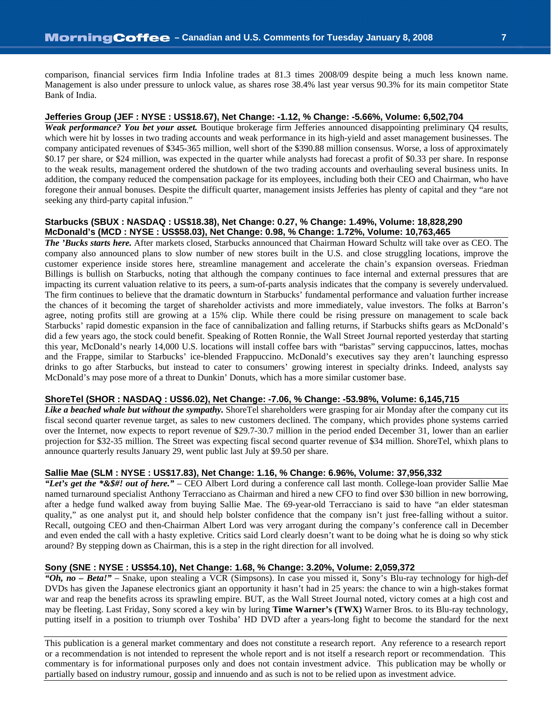comparison, financial services firm India Infoline trades at 81.3 times 2008/09 despite being a much less known name. Management is also under pressure to unlock value, as shares rose 38.4% last year versus 90.3% for its main competitor State Bank of India.

#### **Jefferies Group (JEF : NYSE : US\$18.67), Net Change: -1.12, % Change: -5.66%, Volume: 6,502,704**

*Weak performance? You bet your asset.* Boutique brokerage firm Jefferies announced disappointing preliminary Q4 results, which were hit by losses in two trading accounts and weak performance in its high-yield and asset management businesses. The company anticipated revenues of \$345-365 million, well short of the \$390.88 million consensus. Worse, a loss of approximately \$0.17 per share, or \$24 million, was expected in the quarter while analysts had forecast a profit of \$0.33 per share. In response to the weak results, management ordered the shutdown of the two trading accounts and overhauling several business units. In addition, the company reduced the compensation package for its employees, including both their CEO and Chairman, who have foregone their annual bonuses. Despite the difficult quarter, management insists Jefferies has plenty of capital and they "are not seeking any third-party capital infusion."

#### **Starbucks (SBUX : NASDAQ : US\$18.38), Net Change: 0.27, % Change: 1.49%, Volume: 18,828,290 McDonald's (MCD : NYSE : US\$58.03), Net Change: 0.98, % Change: 1.72%, Volume: 10,763,465**

*The 'Bucks starts here.* After markets closed, Starbucks announced that Chairman Howard Schultz will take over as CEO. The company also announced plans to slow number of new stores built in the U.S. and close struggling locations, improve the customer experience inside stores here, streamline management and accelerate the chain's expansion overseas. Friedman Billings is bullish on Starbucks, noting that although the company continues to face internal and external pressures that are impacting its current valuation relative to its peers, a sum-of-parts analysis indicates that the company is severely undervalued. The firm continues to believe that the dramatic downturn in Starbucks' fundamental performance and valuation further increase the chances of it becoming the target of shareholder activists and more immediately, value investors. The folks at Barron's agree, noting profits still are growing at a 15% clip. While there could be rising pressure on management to scale back Starbucks' rapid domestic expansion in the face of cannibalization and falling returns, if Starbucks shifts gears as McDonald's did a few years ago, the stock could benefit. Speaking of Rotten Ronnie, the Wall Street Journal reported yesterday that starting this year, McDonald's nearly 14,000 U.S. locations will install coffee bars with "baristas" serving cappuccinos, lattes, mochas and the Frappe, similar to Starbucks' ice-blended Frappuccino. McDonald's executives say they aren't launching espresso drinks to go after Starbucks, but instead to cater to consumers' growing interest in specialty drinks. Indeed, analysts say McDonald's may pose more of a threat to Dunkin' Donuts, which has a more similar customer base.

#### **ShoreTel (SHOR : NASDAQ : US\$6.02), Net Change: -7.06, % Change: -53.98%, Volume: 6,145,715**

*Like a beached whale but without the sympathy.* ShoreTel shareholders were grasping for air Monday after the company cut its fiscal second quarter revenue target, as sales to new customers declined. The company, which provides phone systems carried over the Internet, now expects to report revenue of \$29.7-30.7 million in the period ended December 31, lower than an earlier projection for \$32-35 million. The Street was expecting fiscal second quarter revenue of \$34 million. ShoreTel, whixh plans to announce quarterly results January 29, went public last July at \$9.50 per share.

#### **Sallie Mae (SLM : NYSE : US\$17.83), Net Change: 1.16, % Change: 6.96%, Volume: 37,956,332**

*"Let's get the \*&\$#! out of here."* – CEO Albert Lord during a conference call last month. College-loan provider Sallie Mae named turnaround specialist Anthony Terracciano as Chairman and hired a new CFO to find over \$30 billion in new borrowing, after a hedge fund walked away from buying Sallie Mae. The 69-year-old Terracciano is said to have "an elder statesman quality," as one analyst put it, and should help bolster confidence that the company isn't just free-falling without a suitor. Recall, outgoing CEO and then-Chairman Albert Lord was very arrogant during the company's conference call in December and even ended the call with a hasty expletive. Critics said Lord clearly doesn't want to be doing what he is doing so why stick around? By stepping down as Chairman, this is a step in the right direction for all involved.

#### **Sony (SNE : NYSE : US\$54.10), Net Change: 1.68, % Change: 3.20%, Volume: 2,059,372**

*"Oh, no – Beta!"* – Snake, upon stealing a VCR (Simpsons). In case you missed it, Sony's Blu-ray technology for high-def DVDs has given the Japanese electronics giant an opportunity it hasn't had in 25 years: the chance to win a high-stakes format war and reap the benefits across its sprawling empire. BUT, as the Wall Street Journal noted, victory comes at a high cost and may be fleeting. Last Friday, Sony scored a key win by luring **Time Warner's (TWX)** Warner Bros. to its Blu-ray technology, putting itself in a position to triumph over Toshiba' HD DVD after a years-long fight to become the standard for the next